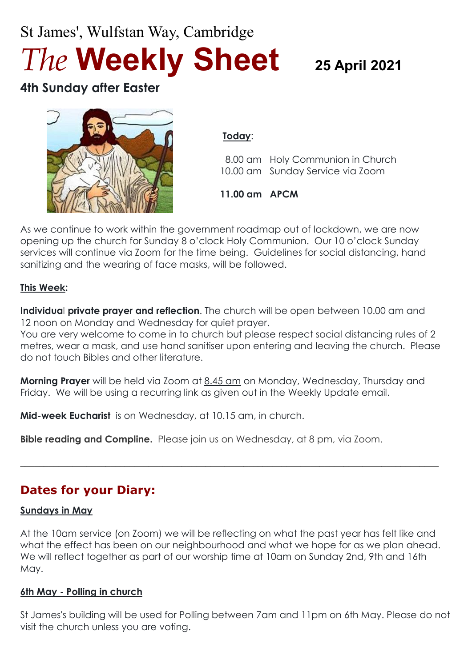# St James', Wulfstan Way, Cambridge *The* **Weekly Sheet <sup>25</sup> April <sup>2021</sup>**

# **4th Sunday after Easter**



#### **Today**:

 8.00 am Holy Communion in Church 10.00 am Sunday Service via Zoom

**11.00 am APCM**

As we continue to work within the government roadmap out of lockdown, we are now opening up the church for Sunday 8 o'clock Holy Communion. Our 10 o'clock Sunday services will continue via Zoom for the time being. Guidelines for social distancing, hand sanitizing and the wearing of face masks, will be followed.

#### **This Week:**

**Individua**l **private prayer and reflection**. The church will be open between 10.00 am and 12 noon on Monday and Wednesday for quiet prayer.

You are very welcome to come in to church but please respect social distancing rules of 2 metres, wear a mask, and use hand sanitiser upon entering and leaving the church. Please do not touch Bibles and other literature.

**Morning Prayer** will be held via Zoom at 8.45 am on Monday, Wednesday, Thursday and Friday. We will be using a recurring link as given out in the Weekly Update email.

**Mid-week Eucharist** is on Wednesday, at 10.15 am, in church.

**Bible reading and Compline.** Please join us on Wednesday, at 8 pm, via Zoom.

# **Dates for your Diary:**

#### **Sundays in May**

At the 10am service (on Zoom) we will be reflecting on what the past year has felt like and what the effect has been on our neighbourhood and what we hope for as we plan ahead. We will reflect together as part of our worship time at 10am on Sunday 2nd, 9th and 16th May.

 $\_$  , and the set of the set of the set of the set of the set of the set of the set of the set of the set of the set of the set of the set of the set of the set of the set of the set of the set of the set of the set of th

#### **6th May - Polling in church**

St James's building will be used for Polling between 7am and 11pm on 6th May. Please do not visit the church unless you are voting.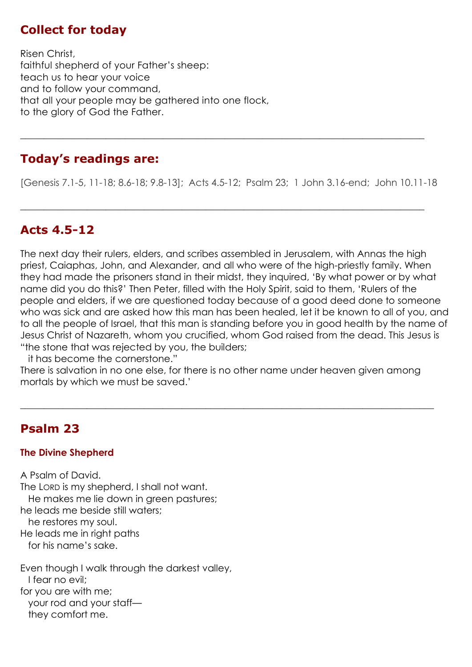## **Collect for today**

Risen Christ, faithful shepherd of your Father's sheep: teach us to hear your voice and to follow your command, that all your people may be gathered into one flock, to the glory of God the Father.

## **Today's readings are:**

[Genesis 7.1-5, 11-18; 8.6-18; 9.8-13]; Acts 4.5-12; Psalm 23; 1 John 3.16-end; John 10.11-18

 $\_$  , and the set of the set of the set of the set of the set of the set of the set of the set of the set of the set of the set of the set of the set of the set of the set of the set of the set of the set of the set of th

**\_\_\_\_\_\_\_\_\_\_\_\_\_\_\_\_\_\_\_\_\_\_\_\_\_\_\_\_\_\_\_\_\_\_\_\_\_\_\_\_\_\_\_\_\_\_\_\_\_\_\_\_\_\_\_\_\_\_\_\_\_\_\_\_\_\_\_\_\_\_\_\_\_\_\_\_\_\_\_\_\_\_\_\_\_**

## **Acts 4.5-12**

The next day their rulers, elders, and scribes assembled in Jerusalem, with Annas the high priest, Caiaphas, John, and Alexander, and all who were of the high-priestly family. When they had made the prisoners stand in their midst, they inquired, 'By what power or by what name did you do this?' Then Peter, filled with the Holy Spirit, said to them, 'Rulers of the people and elders, if we are questioned today because of a good deed done to someone who was sick and are asked how this man has been healed, let it be known to all of you, and to all the people of Israel, that this man is standing before you in good health by the name of Jesus Christ of Nazareth, whom you crucified, whom God raised from the dead. This Jesus is "the stone that was rejected by you, the builders;

it has become the cornerstone."

There is salvation in no one else, for there is no other name under heaven given among mortals by which we must be saved.'

 $\_$  , and the set of the set of the set of the set of the set of the set of the set of the set of the set of the set of the set of the set of the set of the set of the set of the set of the set of the set of the set of th

## **Psalm 23**

#### **The Divine Shepherd**

A Psalm of David. The LORD is my shepherd, I shall not want. He makes me lie down in green pastures; he leads me beside still waters; he restores my soul. He leads me in right paths for his name's sake.

Even though I walk through the darkest valley, I fear no evil; for you are with me; your rod and your staff they comfort me.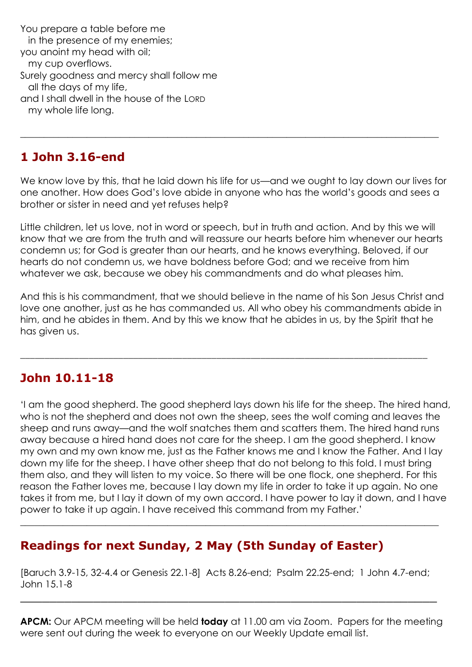You prepare a table before me in the presence of my enemies; you anoint my head with oil; my cup overflows. Surely goodness and mercy shall follow me all the days of my life, and I shall dwell in the house of the LORD my whole life long.

## **1 John 3.16-end**

We know love by this, that he laid down his life for us—and we ought to lay down our lives for one another. How does God's love abide in anyone who has the world's goods and sees a brother or sister in need and yet refuses help?

 $\_$  , and the set of the set of the set of the set of the set of the set of the set of the set of the set of the set of the set of the set of the set of the set of the set of the set of the set of the set of the set of th

Little children, let us love, not in word or speech, but in truth and action. And by this we will know that we are from the truth and will reassure our hearts before him whenever our hearts condemn us; for God is greater than our hearts, and he knows everything. Beloved, if our hearts do not condemn us, we have boldness before God; and we receive from him whatever we ask, because we obey his commandments and do what pleases him.

And this is his commandment, that we should believe in the name of his Son Jesus Christ and love one another, just as he has commanded us. All who obey his commandments abide in him, and he abides in them. And by this we know that he abides in us, by the Spirit that he has given us.

\_\_\_\_\_\_\_\_\_\_\_\_\_\_\_\_\_\_\_\_\_\_\_\_\_\_\_\_\_\_\_\_\_\_\_\_\_\_\_\_\_\_\_\_\_\_\_\_\_\_\_\_\_\_\_\_\_\_\_\_\_\_\_\_\_\_\_\_\_\_\_\_\_\_\_\_\_\_\_\_\_\_\_

# **John 10.11-18**

'I am the good shepherd. The good shepherd lays down his life for the sheep. The hired hand, who is not the shepherd and does not own the sheep, sees the wolf coming and leaves the sheep and runs away—and the wolf snatches them and scatters them. The hired hand runs away because a hired hand does not care for the sheep. I am the good shepherd. I know my own and my own know me, just as the Father knows me and I know the Father. And I lay down my life for the sheep. I have other sheep that do not belong to this fold. I must bring them also, and they will listen to my voice. So there will be one flock, one shepherd. For this reason the Father loves me, because I lay down my life in order to take it up again. No one takes it from me, but I lay it down of my own accord. I have power to lay it down, and I have power to take it up again. I have received this command from my Father.'

# **Readings for next Sunday, 2 May (5th Sunday of Easter)**

[Baruch 3.9-15, 32-4.4 or Genesis 22.1-8] Acts 8.26-end; Psalm 22.25-end; 1 John 4.7-end; John 15.1-8

\_\_\_\_\_\_\_\_\_\_\_\_\_\_\_\_\_\_\_\_\_\_\_\_\_\_\_\_\_\_\_\_\_\_\_\_\_\_\_\_\_\_\_\_\_\_\_\_\_\_\_\_\_\_\_\_\_

**\_\_\_\_\_\_\_\_\_\_\_\_\_\_\_\_\_\_\_\_\_\_\_\_\_\_\_\_\_\_\_\_\_\_\_\_\_\_\_\_\_\_\_\_\_\_\_\_\_\_\_\_\_\_\_\_\_\_\_\_\_\_\_\_\_\_\_\_\_\_\_\_\_\_\_\_\_\_\_\_\_\_\_\_\_\_\_\_**

**APCM:** Our APCM meeting will be held **today** at 11.00 am via Zoom. Papers for the meeting were sent out during the week to everyone on our Weekly Update email list.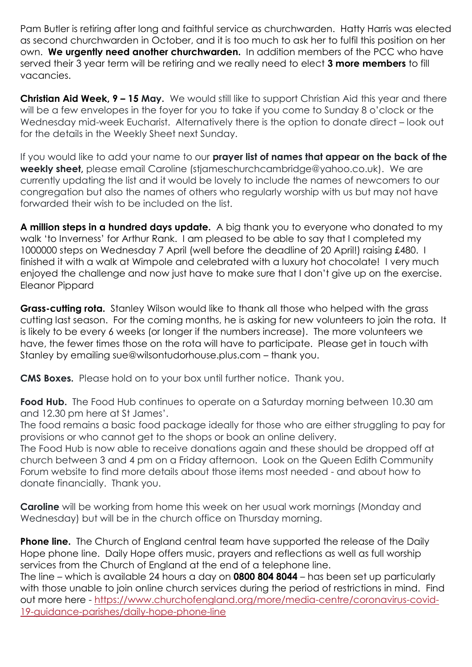Pam Butler is retiring after long and faithful service as churchwarden. Hatty Harris was elected as second churchwarden in October, and it is too much to ask her to fulfil this position on her own. **We urgently need another churchwarden.** In addition members of the PCC who have served their 3 year term will be retiring and we really need to elect **3 more members** to fill vacancies.

**Christian Aid Week, 9 – 15 May.** We would still like to support Christian Aid this year and there will be a few envelopes in the foyer for you to take if you come to Sunday 8 o'clock or the Wednesday mid-week Eucharist. Alternatively there is the option to donate direct – look out for the details in the Weekly Sheet next Sunday.

If you would like to add your name to our **prayer list of names that appear on the back of the weekly sheet,** please email Caroline (stjameschurchcambridge@yahoo.co.uk). We are currently updating the list and it would be lovely to include the names of newcomers to our congregation but also the names of others who regularly worship with us but may not have forwarded their wish to be included on the list.

**A million steps in a hundred days update.** A big thank you to everyone who donated to my walk 'to Inverness' for Arthur Rank. I am pleased to be able to say that I completed my 1000000 steps on Wednesday 7 April (well before the deadline of 20 April!) raising £480. I finished it with a walk at Wimpole and celebrated with a luxury hot chocolate! I very much enjoyed the challenge and now just have to make sure that I don't give up on the exercise. Eleanor Pippard

**Grass-cutting rota.** Stanley Wilson would like to thank all those who helped with the grass cutting last season. For the coming months, he is asking for new volunteers to join the rota. It is likely to be every 6 weeks (or longer if the numbers increase). The more volunteers we have, the fewer times those on the rota will have to participate. Please get in touch with Stanley by emailing sue@wilsontudorhouse.plus.com – thank you.

**CMS Boxes.** Please hold on to your box until further notice. Thank you.

**Food Hub.** The Food Hub continues to operate on a Saturday morning between 10.30 am and 12.30 pm here at St James'.

The food remains a basic food package ideally for those who are either struggling to pay for provisions or who cannot get to the shops or book an online delivery.

The Food Hub is now able to receive donations again and these should be dropped off at church between 3 and 4 pm on a Friday afternoon. Look on the Queen Edith Community Forum website to find more details about those items most needed - and about how to donate financially. Thank you.

**Caroline** will be working from home this week on her usual work mornings (Monday and Wednesday) but will be in the church office on Thursday morning.

**Phone line.** The Church of England central team have supported the release of the Daily Hope phone line. Daily Hope offers music, prayers and reflections as well as full worship services from the Church of England at the end of a telephone line.

The line – which is available 24 hours a day on **0800 804 8044** – has been set up particularly with those unable to join online church services during the period of restrictions in mind. Find out more here - [https://www.churchofengland.org/more/media-centre/coronavirus-covid-](https://www.churchofengland.org/more/media-centre/coronavirus-covid-19-guidance-parishes/daily-hope-phone-line)[19-guidance-parishes/daily-hope-phone-line](https://www.churchofengland.org/more/media-centre/coronavirus-covid-19-guidance-parishes/daily-hope-phone-line)